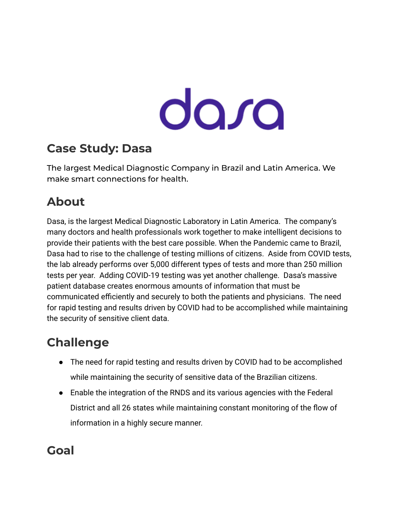# dara

## **Case Study: Dasa**

The largest Medical Diagnostic Company in Brazil and Latin America. We make smart connections for health.

## **About**

Dasa, is the largest Medical Diagnostic Laboratory in Latin America. The company's many doctors and health professionals work together to make intelligent decisions to provide their patients with the best care possible. When the Pandemic came to Brazil, Dasa had to rise to the challenge of testing millions of citizens. Aside from COVID tests, the lab already performs over 5,000 different types of tests and more than 250 million tests per year. Adding COVID-19 testing was yet another challenge. Dasa's massive patient database creates enormous amounts of information that must be communicated efficiently and securely to both the patients and physicians. The need for rapid testing and results driven by COVID had to be accomplished while maintaining the security of sensitive client data.

# **Challenge**

- The need for rapid testing and results driven by COVID had to be accomplished while maintaining the security of sensitive data of the Brazilian citizens.
- Enable the integration of the RNDS and its various agencies with the Federal District and all 26 states while maintaining constant monitoring of the flow of information in a highly secure manner.

#### **Goal**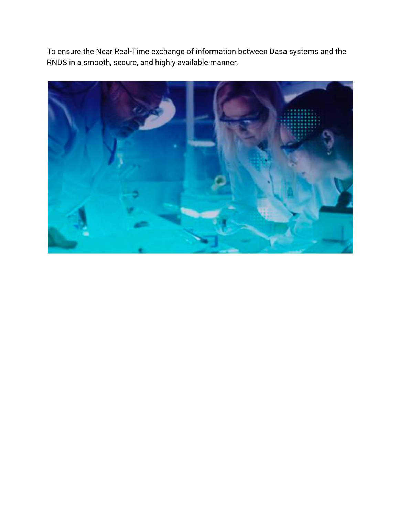To ensure the Near Real-Time exchange of information between Dasa systems and the RNDS in a smooth, secure, and highly available manner.

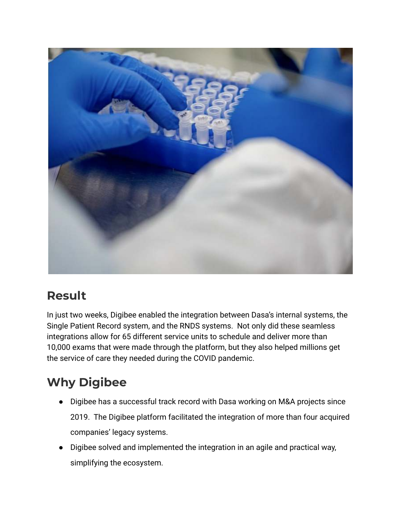

#### **Result**

In just two weeks, Digibee enabled the integration between Dasa's internal systems, the Single Patient Record system, and the RNDS systems. Not only did these seamless integrations allow for 65 different service units to schedule and deliver more than 10,000 exams that were made through the platform, but they also helped millions get the service of care they needed during the COVID pandemic.

# **Why Digibee**

- Digibee has a successful track record with Dasa working on M&A projects since 2019. The Digibee platform facilitated the integration of more than four acquired companies' legacy systems.
- Digibee solved and implemented the integration in an agile and practical way, simplifying the ecosystem.